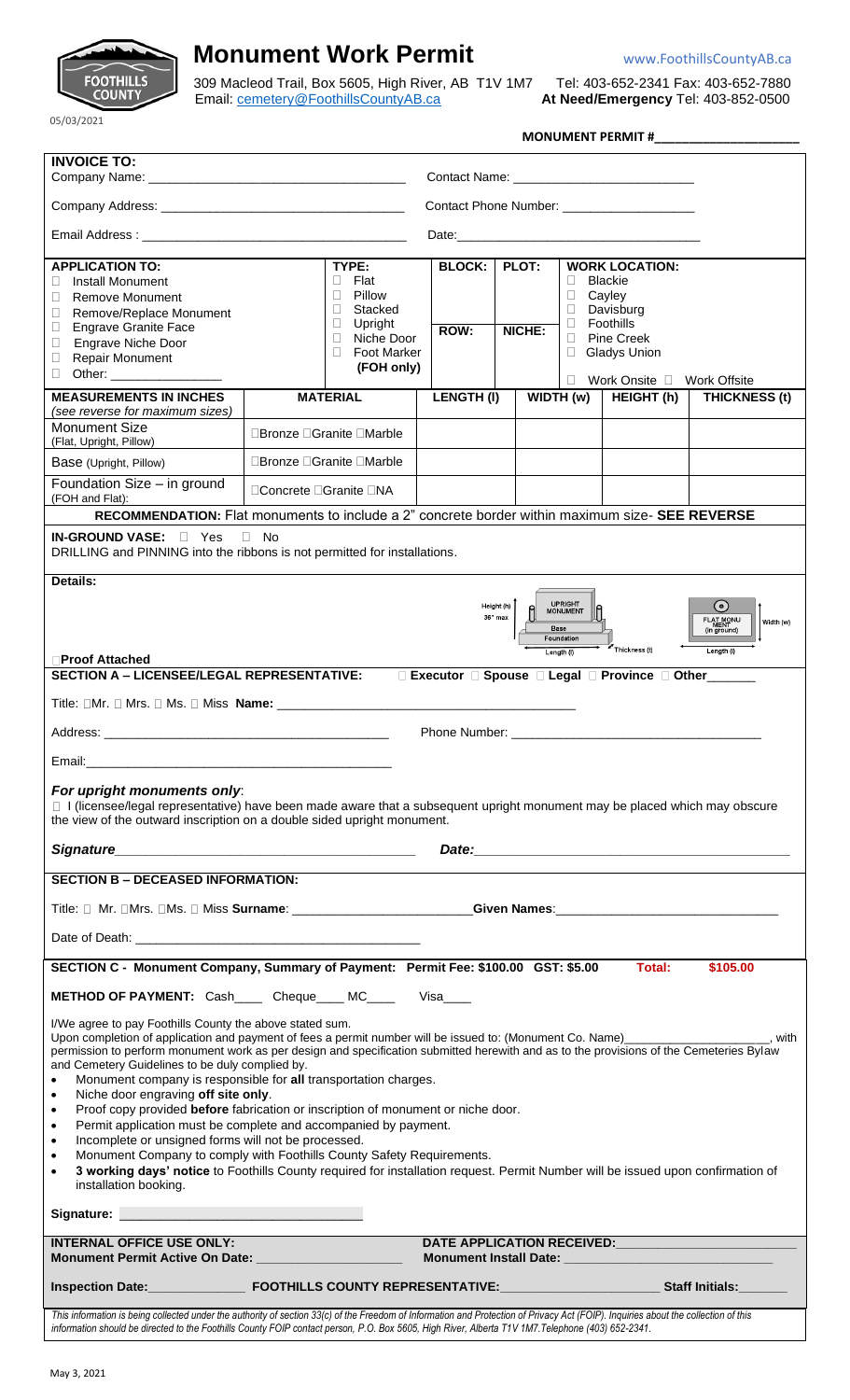

## **Monument Work Permit** Warehouse With Warehouse With Warehouse With Warehouse With Manuscript With Manuscript With Manuscript With Manuscript With Manuscript With Manuscript With Manuscript With Manuscript With Manuscript

309 Macleod Trail, Box 5605, High River, AB T1V 1M7 Tel: 403-652-2341 Fax: 403-652-7880 Email: [cemetery@FoothillsCountyAB.ca](mailto:cemetery@FoothillsCountyAB.ca) **At Need/Emergency** Tel: 403-852-0500

05/03/2021

| <b>MONUMENT PERMIT#</b> |
|-------------------------|
|                         |

| <b>INVOICE TO:</b>                                                                                                                                                                                                                                                                                                                                                                                                                                                                                                                                                                                                                                                                                                                                                                                                                                                                                                                                                                                                                                                                                                           |                                                                                                 |                                                                                                                                         |                                            |                 |                             |                                                                                                                                          |                      |  |
|------------------------------------------------------------------------------------------------------------------------------------------------------------------------------------------------------------------------------------------------------------------------------------------------------------------------------------------------------------------------------------------------------------------------------------------------------------------------------------------------------------------------------------------------------------------------------------------------------------------------------------------------------------------------------------------------------------------------------------------------------------------------------------------------------------------------------------------------------------------------------------------------------------------------------------------------------------------------------------------------------------------------------------------------------------------------------------------------------------------------------|-------------------------------------------------------------------------------------------------|-----------------------------------------------------------------------------------------------------------------------------------------|--------------------------------------------|-----------------|-----------------------------|------------------------------------------------------------------------------------------------------------------------------------------|----------------------|--|
|                                                                                                                                                                                                                                                                                                                                                                                                                                                                                                                                                                                                                                                                                                                                                                                                                                                                                                                                                                                                                                                                                                                              |                                                                                                 |                                                                                                                                         |                                            |                 |                             |                                                                                                                                          |                      |  |
|                                                                                                                                                                                                                                                                                                                                                                                                                                                                                                                                                                                                                                                                                                                                                                                                                                                                                                                                                                                                                                                                                                                              |                                                                                                 |                                                                                                                                         | Contact Phone Number: ____________________ |                 |                             |                                                                                                                                          |                      |  |
|                                                                                                                                                                                                                                                                                                                                                                                                                                                                                                                                                                                                                                                                                                                                                                                                                                                                                                                                                                                                                                                                                                                              |                                                                                                 |                                                                                                                                         |                                            |                 |                             |                                                                                                                                          |                      |  |
| <b>APPLICATION TO:</b><br><b>Install Monument</b><br>$\mathbf{L}$<br><b>Remove Monument</b><br>П<br>Remove/Replace Monument<br>□<br><b>Engrave Granite Face</b><br>□<br>Engrave Niche Door<br>$\Box$<br><b>Repair Monument</b><br>□<br>O                                                                                                                                                                                                                                                                                                                                                                                                                                                                                                                                                                                                                                                                                                                                                                                                                                                                                     |                                                                                                 | TYPE:<br>Flat<br>$\Box$<br>Pillow<br>Ш<br>Stacked<br>□<br>Upright<br>□<br>Niche Door<br>$\Box$<br><b>Foot Marker</b><br>П<br>(FOH only) | <b>BLOCK:</b><br>ROW:                      | PLOT:<br>NICHE: | П<br>□<br>□<br>П.<br>Ш<br>П | <b>WORK LOCATION:</b><br><b>Blackie</b><br>Cayley<br>Davisburg<br>Foothills<br><b>Pine Creek</b><br><b>Gladys Union</b><br>Work Onsite D | <b>Work Offsite</b>  |  |
| <b>MEASUREMENTS IN INCHES</b>                                                                                                                                                                                                                                                                                                                                                                                                                                                                                                                                                                                                                                                                                                                                                                                                                                                                                                                                                                                                                                                                                                |                                                                                                 | <b>MATERIAL</b>                                                                                                                         | <b>LENGTH(I)</b>                           |                 | WIDTH (w)                   | HEIGHT (h)                                                                                                                               | <b>THICKNESS (t)</b> |  |
| (see reverse for maximum sizes)<br><b>Monument Size</b><br>(Flat, Upright, Pillow)                                                                                                                                                                                                                                                                                                                                                                                                                                                                                                                                                                                                                                                                                                                                                                                                                                                                                                                                                                                                                                           | □Bronze □Granite □Marble                                                                        |                                                                                                                                         |                                            |                 |                             |                                                                                                                                          |                      |  |
| Base (Upright, Pillow)                                                                                                                                                                                                                                                                                                                                                                                                                                                                                                                                                                                                                                                                                                                                                                                                                                                                                                                                                                                                                                                                                                       | □Bronze □Granite □Marble                                                                        |                                                                                                                                         |                                            |                 |                             |                                                                                                                                          |                      |  |
| Foundation Size - in ground<br>(FOH and Flat):                                                                                                                                                                                                                                                                                                                                                                                                                                                                                                                                                                                                                                                                                                                                                                                                                                                                                                                                                                                                                                                                               | □Concrete □Granite □NA                                                                          |                                                                                                                                         |                                            |                 |                             |                                                                                                                                          |                      |  |
|                                                                                                                                                                                                                                                                                                                                                                                                                                                                                                                                                                                                                                                                                                                                                                                                                                                                                                                                                                                                                                                                                                                              | RECOMMENDATION: Flat monuments to include a 2" concrete border within maximum size- SEE REVERSE |                                                                                                                                         |                                            |                 |                             |                                                                                                                                          |                      |  |
| $\Box$ No<br><b>IN-GROUND VASE:</b><br>$\Box$ Yes<br>DRILLING and PINNING into the ribbons is not permitted for installations.                                                                                                                                                                                                                                                                                                                                                                                                                                                                                                                                                                                                                                                                                                                                                                                                                                                                                                                                                                                               |                                                                                                 |                                                                                                                                         |                                            |                 |                             |                                                                                                                                          |                      |  |
| <b>Details:</b>                                                                                                                                                                                                                                                                                                                                                                                                                                                                                                                                                                                                                                                                                                                                                                                                                                                                                                                                                                                                                                                                                                              |                                                                                                 |                                                                                                                                         |                                            |                 |                             |                                                                                                                                          |                      |  |
| UPRIGHT<br>MONUMENT<br>$\odot$<br>Height (h)<br>36" max<br>FLAT MONU<br>MENT<br>(in ground)<br>Width (w)<br>Base<br>Foundation<br>Thickness (t)<br>Length (I)<br>Length (I)<br><b>Proof Attached</b>                                                                                                                                                                                                                                                                                                                                                                                                                                                                                                                                                                                                                                                                                                                                                                                                                                                                                                                         |                                                                                                 |                                                                                                                                         |                                            |                 |                             |                                                                                                                                          |                      |  |
| <b>SECTION A - LICENSEE/LEGAL REPRESENTATIVE:</b><br>□ Executor □ Spouse □ Legal □ Province □ Other                                                                                                                                                                                                                                                                                                                                                                                                                                                                                                                                                                                                                                                                                                                                                                                                                                                                                                                                                                                                                          |                                                                                                 |                                                                                                                                         |                                            |                 |                             |                                                                                                                                          |                      |  |
|                                                                                                                                                                                                                                                                                                                                                                                                                                                                                                                                                                                                                                                                                                                                                                                                                                                                                                                                                                                                                                                                                                                              |                                                                                                 |                                                                                                                                         |                                            |                 |                             |                                                                                                                                          |                      |  |
|                                                                                                                                                                                                                                                                                                                                                                                                                                                                                                                                                                                                                                                                                                                                                                                                                                                                                                                                                                                                                                                                                                                              |                                                                                                 |                                                                                                                                         |                                            |                 |                             |                                                                                                                                          |                      |  |
| Email: Album and the contract of the contract of the contract of the contract of the contract of the contract of the contract of the contract of the contract of the contract of the contract of the contract of the contract                                                                                                                                                                                                                                                                                                                                                                                                                                                                                                                                                                                                                                                                                                                                                                                                                                                                                                |                                                                                                 |                                                                                                                                         |                                            |                 |                             |                                                                                                                                          |                      |  |
| For upright monuments only:<br>□ I (licensee/legal representative) have been made aware that a subsequent upright monument may be placed which may obscure<br>the view of the outward inscription on a double sided upright monument.                                                                                                                                                                                                                                                                                                                                                                                                                                                                                                                                                                                                                                                                                                                                                                                                                                                                                        |                                                                                                 |                                                                                                                                         |                                            |                 |                             |                                                                                                                                          |                      |  |
|                                                                                                                                                                                                                                                                                                                                                                                                                                                                                                                                                                                                                                                                                                                                                                                                                                                                                                                                                                                                                                                                                                                              |                                                                                                 |                                                                                                                                         |                                            |                 |                             |                                                                                                                                          |                      |  |
| <b>SECTION B - DECEASED INFORMATION:</b>                                                                                                                                                                                                                                                                                                                                                                                                                                                                                                                                                                                                                                                                                                                                                                                                                                                                                                                                                                                                                                                                                     |                                                                                                 |                                                                                                                                         |                                            |                 |                             |                                                                                                                                          |                      |  |
| Title: □ Mr. □Mrs. □Ms. □ Miss Surname: ______________________Given Names:_________________________                                                                                                                                                                                                                                                                                                                                                                                                                                                                                                                                                                                                                                                                                                                                                                                                                                                                                                                                                                                                                          |                                                                                                 |                                                                                                                                         |                                            |                 |                             |                                                                                                                                          |                      |  |
|                                                                                                                                                                                                                                                                                                                                                                                                                                                                                                                                                                                                                                                                                                                                                                                                                                                                                                                                                                                                                                                                                                                              |                                                                                                 |                                                                                                                                         |                                            |                 |                             |                                                                                                                                          |                      |  |
| SECTION C - Monument Company, Summary of Payment: Permit Fee: \$100.00 GST: \$5.00 Total:<br>\$105.00                                                                                                                                                                                                                                                                                                                                                                                                                                                                                                                                                                                                                                                                                                                                                                                                                                                                                                                                                                                                                        |                                                                                                 |                                                                                                                                         |                                            |                 |                             |                                                                                                                                          |                      |  |
| METHOD OF PAYMENT: Cash____ Cheque____ MC____ Visa____                                                                                                                                                                                                                                                                                                                                                                                                                                                                                                                                                                                                                                                                                                                                                                                                                                                                                                                                                                                                                                                                       |                                                                                                 |                                                                                                                                         |                                            |                 |                             |                                                                                                                                          |                      |  |
| I/We agree to pay Foothills County the above stated sum.<br>Upon completion of application and payment of fees a permit number will be issued to: (Monument Co. Name) _____________________, with<br>permission to perform monument work as per design and specification submitted herewith and as to the provisions of the Cemeteries Bylaw<br>and Cemetery Guidelines to be duly complied by.<br>Monument company is responsible for all transportation charges.<br>$\bullet$<br>Niche door engraving off site only.<br>$\bullet$<br>Proof copy provided before fabrication or inscription of monument or niche door.<br>$\bullet$<br>Permit application must be complete and accompanied by payment.<br>$\bullet$<br>Incomplete or unsigned forms will not be processed.<br>$\bullet$<br>Monument Company to comply with Foothills County Safety Requirements.<br>$\bullet$<br>3 working days' notice to Foothills County required for installation request. Permit Number will be issued upon confirmation of<br>$\bullet$<br>installation booking.<br>Signature: <u>Communications</u> Communications of the Signature: |                                                                                                 |                                                                                                                                         |                                            |                 |                             |                                                                                                                                          |                      |  |
|                                                                                                                                                                                                                                                                                                                                                                                                                                                                                                                                                                                                                                                                                                                                                                                                                                                                                                                                                                                                                                                                                                                              |                                                                                                 |                                                                                                                                         |                                            |                 |                             |                                                                                                                                          |                      |  |
| <b>INTERNAL OFFICE USE ONLY:</b>                                                                                                                                                                                                                                                                                                                                                                                                                                                                                                                                                                                                                                                                                                                                                                                                                                                                                                                                                                                                                                                                                             |                                                                                                 | DATE APPLICATION RECEIVED: <b>All and September 2014</b>                                                                                |                                            |                 |                             |                                                                                                                                          |                      |  |
|                                                                                                                                                                                                                                                                                                                                                                                                                                                                                                                                                                                                                                                                                                                                                                                                                                                                                                                                                                                                                                                                                                                              |                                                                                                 |                                                                                                                                         |                                            |                 |                             |                                                                                                                                          |                      |  |
| This information is being collected under the authority of section 33(c) of the Freedom of Information and Protection of Privacy Act (FOIP). Inquiries about the collection of this<br>information should be directed to the Foothills County FOIP contact person, P.O. Box 5605, High River, Alberta T1V 1M7. Telephone (403) 652-2341.                                                                                                                                                                                                                                                                                                                                                                                                                                                                                                                                                                                                                                                                                                                                                                                     |                                                                                                 |                                                                                                                                         |                                            |                 |                             |                                                                                                                                          |                      |  |